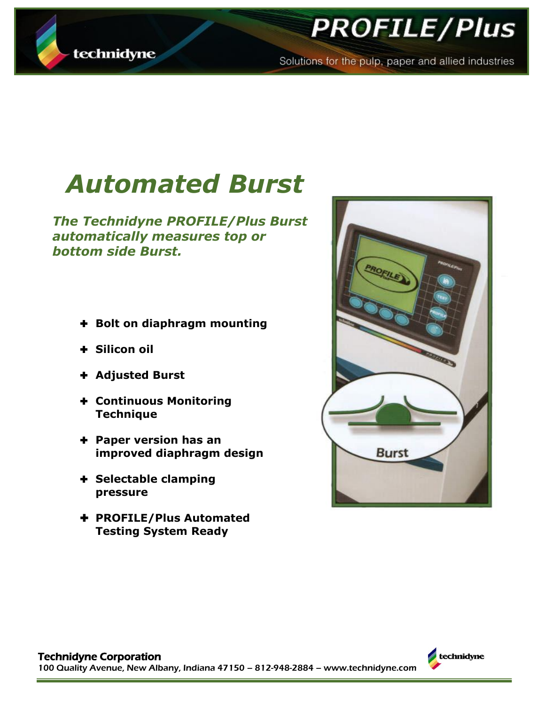

## **PROFILE/Plus**

Solutions for the pulp, paper and allied industries

# *Automated Burst*

*The Technidyne PROFILE/Plus Burst automatically measures top or bottom side Burst.*

- **Bolt on diaphragm mounting**
- **Silicon oil**
- **Adjusted Burst**
- **Continuous Monitoring Technique**
- **Paper version has an improved diaphragm design**
- **Selectable clamping pressure**
- **PROFILE/Plus Automated Testing System Ready**



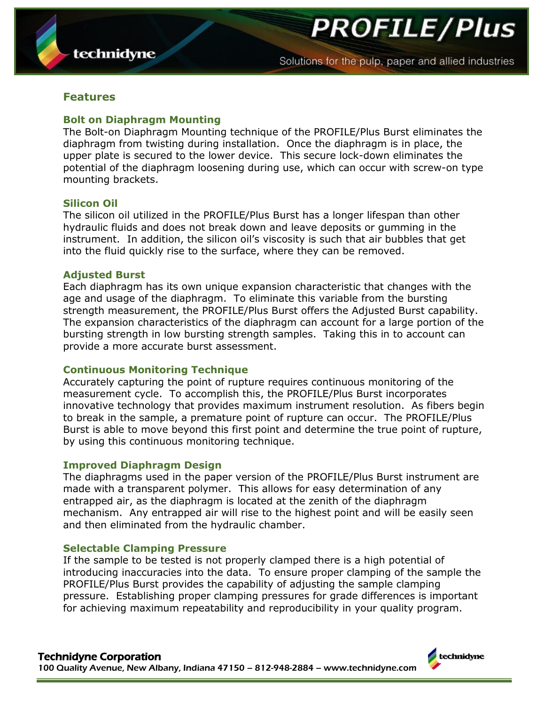**PROFILE/Plus** 

#### **Features**

#### **Bolt on Diaphragm Mounting**

The Bolt-on Diaphragm Mounting technique of the PROFILE/Plus Burst eliminates the diaphragm from twisting during installation. Once the diaphragm is in place, the upper plate is secured to the lower device. This secure lock-down eliminates the potential of the diaphragm loosening during use, which can occur with screw-on type mounting brackets.

#### **Silicon Oil**

The silicon oil utilized in the PROFILE/Plus Burst has a longer lifespan than other hydraulic fluids and does not break down and leave deposits or gumming in the instrument. In addition, the silicon oil's viscosity is such that air bubbles that get into the fluid quickly rise to the surface, where they can be removed.

#### **Adjusted Burst**

Each diaphragm has its own unique expansion characteristic that changes with the age and usage of the diaphragm. To eliminate this variable from the bursting strength measurement, the PROFILE/Plus Burst offers the Adjusted Burst capability. The expansion characteristics of the diaphragm can account for a large portion of the bursting strength in low bursting strength samples. Taking this in to account can provide a more accurate burst assessment.

#### **Continuous Monitoring Technique**

Accurately capturing the point of rupture requires continuous monitoring of the measurement cycle. To accomplish this, the PROFILE/Plus Burst incorporates innovative technology that provides maximum instrument resolution. As fibers begin to break in the sample, a premature point of rupture can occur. The PROFILE/Plus Burst is able to move beyond this first point and determine the true point of rupture, by using this continuous monitoring technique.

#### **Improved Diaphragm Design**

The diaphragms used in the paper version of the PROFILE/Plus Burst instrument are made with a transparent polymer. This allows for easy determination of any entrapped air, as the diaphragm is located at the zenith of the diaphragm mechanism. Any entrapped air will rise to the highest point and will be easily seen and then eliminated from the hydraulic chamber.

#### **Selectable Clamping Pressure**

If the sample to be tested is not properly clamped there is a high potential of introducing inaccuracies into the data. To ensure proper clamping of the sample the PROFILE/Plus Burst provides the capability of adjusting the sample clamping pressure. Establishing proper clamping pressures for grade differences is important for achieving maximum repeatability and reproducibility in your quality program.

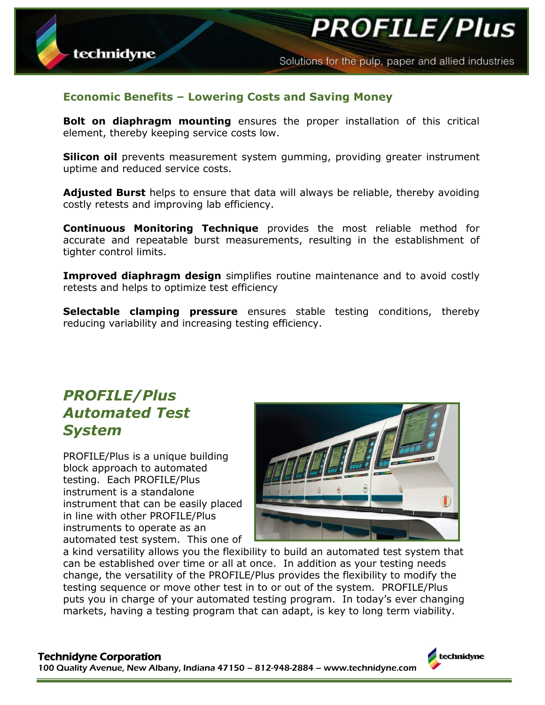**PROFILE/Plus** 



**Bolt on diaphragm mounting** ensures the proper installation of this critical element, thereby keeping service costs low.

**Silicon oil** prevents measurement system gumming, providing greater instrument uptime and reduced service costs.

**Adjusted Burst** helps to ensure that data will always be reliable, thereby avoiding costly retests and improving lab efficiency.

**Continuous Monitoring Technique** provides the most reliable method for accurate and repeatable burst measurements, resulting in the establishment of tighter control limits.

**Improved diaphragm design** simplifies routine maintenance and to avoid costly retests and helps to optimize test efficiency

**Selectable clamping pressure** ensures stable testing conditions, thereby reducing variability and increasing testing efficiency.

### *PROFILE/Plus Automated Test System*

technidyne

PROFILE/Plus is a unique building block approach to automated testing. Each PROFILE/Plus instrument is a standalone instrument that can be easily placed in line with other PROFILE/Plus instruments to operate as an automated test system. This one of



a kind versatility allows you the flexibility to build an automated test system that can be established over time or all at once. In addition as your testing needs change, the versatility of the PROFILE/Plus provides the flexibility to modify the testing sequence or move other test in to or out of the system. PROFILE/Plus puts you in charge of your automated testing program. In today's ever changing markets, having a testing program that can adapt, is key to long term viability.